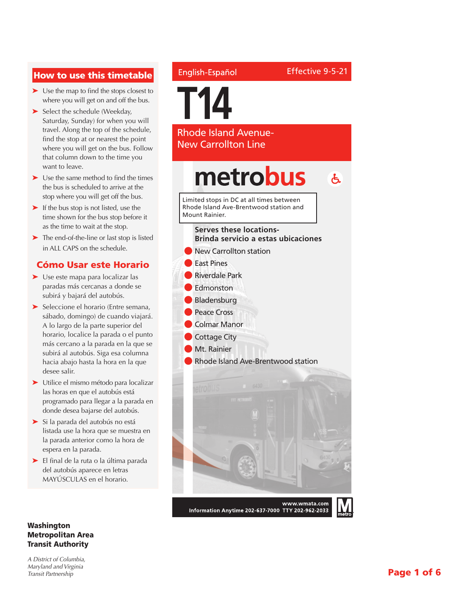#### How to use this timetable

- ➤ Use the map to find the stops closest to where you will get on and off the bus.
- ➤ Select the schedule (Weekday, Saturday, Sunday) for when you will travel. Along the top of the schedule, find the stop at or nearest the point where you will get on the bus. Follow that column down to the time you want to leave.
- ➤ Use the same method to find the times the bus is scheduled to arrive at the stop where you will get off the bus.
- ➤ If the bus stop is not listed, use the time shown for the bus stop before it as the time to wait at the stop.
- ➤ The end-of-the-line or last stop is listed in ALL CAPS on the schedule.

#### Cómo Usar este Horario

- ➤ Use este mapa para localizar las paradas más cercanas a donde se subirá y bajará del autobús.
- ➤ Seleccione el horario (Entre semana, sábado, domingo) de cuando viajará. A lo largo de la parte superior del horario, localice la parada o el punto más cercano a la parada en la que se subirá al autobús. Siga esa columna hacia abajo hasta la hora en la que desee salir.
- ➤ Utilice el mismo método para localizar las horas en que el autobús está programado para llegar a la parada en donde desea bajarse del autobús.
- ➤ Si la parada del autobús no está listada use la hora que se muestra en la parada anterior como la hora de espera en la parada.
- ➤ El final de la ruta o la última parada del autobús aparece en letras MAYÚSCULAS en el horario.

#### Washington Metropolitan Area Transit Authority

*A District of Columbia, Maryland and Virginia Transit Partnership*

#### English-Español

Effective 9-5-21

**T14** Rhode Island Avenue-New Carrollton Line metrobus  $\mathbf{A}$ Limited stops in DC at all times between Rhode Island Ave-Brentwood station and Mount Rainier.**Serves these locations-Brinda servicio a estas ubicaciones** New Carrollton station l East Pines l Riverdale Park

- l Edmonston
- **Bladensburg**
- **Peace Cross**
- l Colmar Manor
- **Cottage City**
- Mt. Rainier
- l Rhode Island Ave-Brentwood station



Information Anytime 202-637-7000 TTY 202-962-2033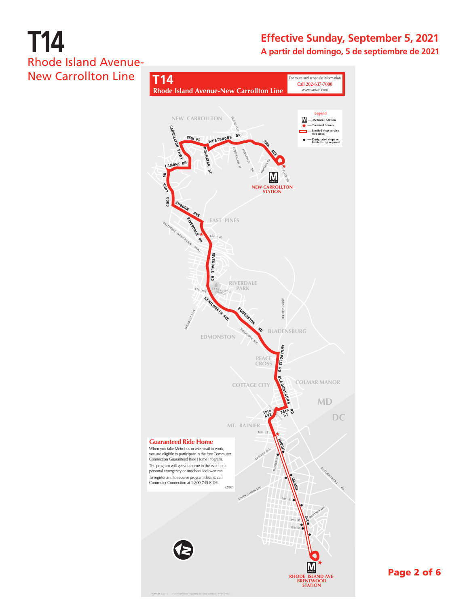### **Effective Sunday, September 5, 2021 A partir del domingo, 5 de septiembre de 2021**



Page 2 of 6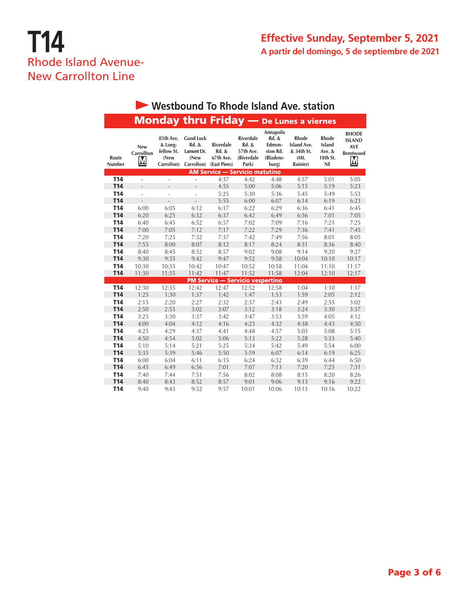| Westbound To Rhode Island Ave. station |                               |                                                          |                                                               |                                                        |                                                               |                                                                                  |                                                                      |                                                             |                                                                      |  |  |
|----------------------------------------|-------------------------------|----------------------------------------------------------|---------------------------------------------------------------|--------------------------------------------------------|---------------------------------------------------------------|----------------------------------------------------------------------------------|----------------------------------------------------------------------|-------------------------------------------------------------|----------------------------------------------------------------------|--|--|
|                                        |                               |                                                          |                                                               |                                                        |                                                               |                                                                                  | <b>Monday thru Friday</b> - De Lunes a viernes                       |                                                             |                                                                      |  |  |
| Route<br>Number                        | New<br><b>Carrollton</b><br>M | 85th Ave.<br>& Long-<br>fellow St.<br>(New<br>Carrolton) | <b>Good Luck</b><br>Rd. &<br>Lamont Dr.<br>(New<br>Carrolton) | <b>Riverdale</b><br>Rd. &<br>67th Ave.<br>(East Pines) | <b>Riverdale</b><br>Rd. &<br>57th Ave.<br>(Riverdale<br>Park) | <b>Annapolis</b><br><b>Rd. &amp;</b><br>Edmon-<br>ston Rd.<br>(Bladens-<br>burg) | <b>Rhode</b><br><b>Island Ave.</b><br>& 34th St.<br>(Mt.<br>Rainier) | <b>Rhode</b><br><b>Island</b><br>Ave. $&$<br>18th St.<br>NE | <b>RHODE</b><br><b>ISLAND</b><br><b>AVE</b><br><b>Brentwood</b><br>M |  |  |
|                                        |                               |                                                          |                                                               | <b>AM Service - Servicio matutino</b>                  |                                                               |                                                                                  |                                                                      |                                                             |                                                                      |  |  |
| <b>T14</b>                             | L.                            | ä,                                                       | ÷,                                                            | 4:37                                                   | 4:42                                                          | 4:48                                                                             | 4:57                                                                 | 5:01                                                        | 5:05                                                                 |  |  |
| <b>T14</b>                             | $\overline{a}$                | $\overline{a}$                                           | $\overline{a}$                                                | 4:55                                                   | 5:00                                                          | 5:06                                                                             | 5:15                                                                 | 5:19                                                        | 5:23                                                                 |  |  |
| <b>T14</b>                             | ä,                            | ÷,                                                       | ٠                                                             | 5:25                                                   | 5:30                                                          | 5:36                                                                             | 5:45                                                                 | 5:49                                                        | 5:53                                                                 |  |  |
| <b>T14</b>                             |                               |                                                          |                                                               | 5:55                                                   | 6:00                                                          | 6:07                                                                             | 6:14                                                                 | 6:19                                                        | 6:23                                                                 |  |  |
| T <sub>14</sub>                        | 6:00                          | 6:05                                                     | 6:12                                                          | 6:17                                                   | 6:22                                                          | 6:29                                                                             | 6:36                                                                 | 6:41                                                        | 6:45                                                                 |  |  |
| <b>T14</b>                             | 6:20                          | 6:25                                                     | 6:32                                                          | 6:37                                                   | 6:42                                                          | 6:49                                                                             | 6:56                                                                 | 7:01                                                        | 7:05                                                                 |  |  |
| T <sub>14</sub>                        | 6:40                          | 6:45                                                     | 6:52                                                          | 6:57                                                   | 7:02                                                          | 7:09                                                                             | 7:16                                                                 | 7:21                                                        | 7:25                                                                 |  |  |
| <b>T14</b>                             | 7:00                          | 7:05                                                     | 7:12                                                          | 7:17                                                   | 7:22                                                          | 7:29                                                                             | 7:36                                                                 | 7:41                                                        | 7:45                                                                 |  |  |
| <b>T14</b>                             | 7:20                          | 7:25                                                     | 7:32                                                          | 7:37                                                   | 7:42                                                          | 7:49                                                                             | 7:56                                                                 | 8:01                                                        | 8:05                                                                 |  |  |
| <b>T14</b>                             | 7:55                          | 8:00                                                     | 8:07                                                          | 8:12                                                   | 8:17                                                          | 8:24                                                                             | 8:31                                                                 | 8:36                                                        | 8:40                                                                 |  |  |
| <b>T14</b>                             | 8:40                          | 8:45                                                     | 8:52                                                          | 8:57                                                   | 9:02                                                          | 9:08                                                                             | 9:14                                                                 | 9:20                                                        | 9:27                                                                 |  |  |
| <b>T14</b>                             | 9:30                          | 9:35                                                     | 9:42                                                          | 9:47                                                   | 9:52                                                          | 9:58                                                                             | 10:04                                                                | 10:10                                                       | 10:17                                                                |  |  |
| <b>T14</b>                             | 10:30                         | 10:35                                                    | 10:42                                                         | 10:47                                                  | 10:52                                                         | 10:58                                                                            | 11:04                                                                | 11:10                                                       | 11:17                                                                |  |  |
| <b>T14</b>                             | 11:30                         | 11:35                                                    | 11:42                                                         | 11:47                                                  | 11:52                                                         | 11:58                                                                            | 12:04                                                                | 12:10                                                       | 12:17                                                                |  |  |
|                                        |                               |                                                          |                                                               | <b>PM Service - Servicio vespertino</b>                |                                                               |                                                                                  |                                                                      |                                                             |                                                                      |  |  |
| T <sub>14</sub>                        | 12:30                         | 12:35                                                    | 12:42                                                         | 12:47                                                  | 12:52                                                         | 12:58                                                                            | 1:04                                                                 | 1:10                                                        | 1:17                                                                 |  |  |
| <b>T14</b>                             | 1:25                          | 1:30                                                     | 1:37                                                          | 1:42                                                   | 1:47                                                          | 1:53                                                                             | 1:59                                                                 | 2:05                                                        | 2:12                                                                 |  |  |
| T <sub>14</sub>                        | 2:15                          | 2:20                                                     | 2:27                                                          | 2:32                                                   | 2:37                                                          | 2:43                                                                             | 2:49                                                                 | 2:55                                                        | 3:02                                                                 |  |  |
| <b>T14</b>                             | 2:50                          | 2:55                                                     | 3:02                                                          | 3:07                                                   | 3:12                                                          | 3:18                                                                             | 3:24                                                                 | 3:30                                                        | 3:37                                                                 |  |  |
| <b>T14</b>                             | 3:25                          | 3:30                                                     | 3:37                                                          | 3:42                                                   | 3:47                                                          | 3:53                                                                             | 3:59                                                                 | 4:05                                                        | 4:12                                                                 |  |  |
| <b>T14</b>                             | 4:00                          | 4:04                                                     | 4:12                                                          | 4:16                                                   | 4:23                                                          | 4:32                                                                             | 4:38                                                                 | 4:43                                                        | 4:50                                                                 |  |  |
| <b>T14</b>                             | 4:25                          | 4:29                                                     | 4:37                                                          | 4:41                                                   | 4:48                                                          | 4:57                                                                             | 5:03                                                                 | 5:08                                                        | 5:15                                                                 |  |  |
| <b>T14</b>                             | 4:50                          | 4:54                                                     | 5:02                                                          | 5:06                                                   | 5:13                                                          | 5:22                                                                             | 5:28                                                                 | 5:33                                                        | 5:40                                                                 |  |  |
| <b>T14</b>                             | 5:10                          | 5:14                                                     | 5:21                                                          | 5:25                                                   | 5:34                                                          | 5:42                                                                             | 5:49                                                                 | 5:54                                                        | 6:00                                                                 |  |  |
| <b>T14</b>                             | 5:35                          | 5:39                                                     | 5:46                                                          | 5:50                                                   | 5:59                                                          | 6:07                                                                             | 6:14                                                                 | 6:19                                                        | 6:25                                                                 |  |  |
| <b>T14</b>                             | 6:00                          | 6:04                                                     | 6:11                                                          | 6:15                                                   | 6:24                                                          | 6:32                                                                             | 6:39                                                                 | 6:44                                                        | 6:50                                                                 |  |  |
| <b>T14</b>                             | 6:45                          | 6:49                                                     | 6:56                                                          | 7:01                                                   | 7:07                                                          | 7:13                                                                             | 7:20                                                                 | 7:25                                                        | 7:31                                                                 |  |  |
| T <sub>14</sub>                        | 7:40                          | 7:44                                                     | 7:51                                                          | 7:56                                                   | 8:02                                                          | 8:08                                                                             | 8:15                                                                 | 8:20                                                        | 8:26                                                                 |  |  |
| <b>T14</b>                             | 8:40                          | 8:43                                                     | 8:52                                                          | 8:57                                                   | 9:01                                                          | 9:06                                                                             | 9:13                                                                 | 9:16                                                        | 9:22                                                                 |  |  |
| T <sub>14</sub>                        | 9:40                          | 9:43                                                     | 9:52                                                          | 9:57                                                   | 10:01                                                         | 10:06                                                                            | 10:13                                                                | 10:16                                                       | 10:22                                                                |  |  |

#### Page 3 of 6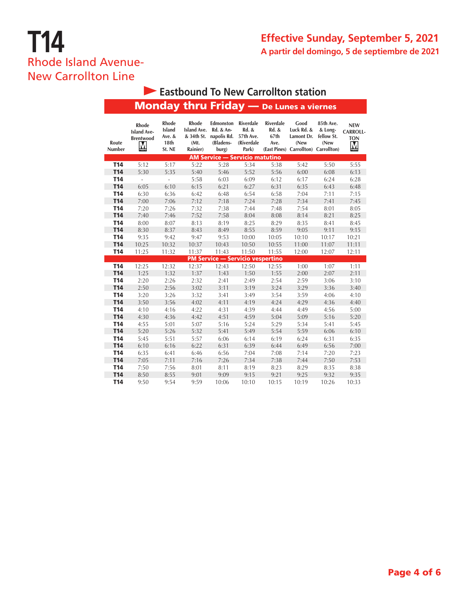### **Effective Sunday, September 5, 2021 A partir del domingo, 5 de septiembre de 2021**

## **T14** Rhode Island Avenue-New Carrollton Line

| Eastbound To New Carrollton station |                                                      |                                                    |                                                               |                                                                        |                                                               |                                               |                                                                                  |                                            |                                                  |  |
|-------------------------------------|------------------------------------------------------|----------------------------------------------------|---------------------------------------------------------------|------------------------------------------------------------------------|---------------------------------------------------------------|-----------------------------------------------|----------------------------------------------------------------------------------|--------------------------------------------|--------------------------------------------------|--|
|                                     |                                                      |                                                    | <b>Monday thru Friday</b> - De Lunes a viernes                |                                                                        |                                                               |                                               |                                                                                  |                                            |                                                  |  |
| Route<br>Number                     | Rhode<br><b>Island Ave-</b><br><b>Brentwood</b><br>M | Rhode<br><b>Island</b><br>Ave. &<br>18th<br>St. NE | Rhode<br><b>Island Ave.</b><br>& 34th St.<br>(Mt.<br>Rainier) | Edmonston<br><b>Rd. &amp; An-</b><br>napolis Rd.<br>(Bladens-<br>burg) | <b>Riverdale</b><br>Rd. &<br>57th Ave.<br>(Riverdale<br>Park) | Riverdale<br><b>Rd. &amp;</b><br>67th<br>Ave. | Good<br>Luck Rd. &<br>Lamont Dr.<br>(New<br>(East Pines) Carrollton) Carrollton) | 85th Ave.<br>& Long-<br>fellow St.<br>(New | <b>NEW</b><br><b>CARROLL-</b><br><b>TON</b><br>M |  |
|                                     |                                                      |                                                    |                                                               | <b>AM Service - Servicio matutino</b>                                  |                                                               |                                               |                                                                                  |                                            |                                                  |  |
| <b>T14</b>                          | 5:12                                                 | 5:17                                               | 5:22                                                          | 5:28                                                                   | 5:34                                                          | 5:38                                          | 5:42                                                                             | 5:50                                       | 5:55                                             |  |
| T14                                 | 5:30                                                 | 5:35                                               | 5:40                                                          | 5:46                                                                   | 5:52                                                          | 5:56                                          | 6:00                                                                             | 6:08                                       | 6:13                                             |  |
| <b>T14</b>                          | ÷,                                                   | ä,                                                 | 5:58                                                          | 6:03                                                                   | 6:09                                                          | 6:12                                          | 6:17                                                                             | 6:24                                       | 6:28                                             |  |
| <b>T14</b>                          | 6:05                                                 | 6:10                                               | 6:15                                                          | 6:21                                                                   | 6:27                                                          | 6:31                                          | 6:35                                                                             | 6:43                                       | 6:48                                             |  |
| <b>T14</b>                          | 6:30                                                 | 6:36                                               | 6:42                                                          | 6:48                                                                   | 6:54                                                          | 6:58                                          | 7:04                                                                             | 7:11                                       | 7:15                                             |  |
| <b>T14</b>                          | 7:00                                                 | 7:06                                               | 7:12                                                          | 7:18                                                                   | 7:24                                                          | 7:28                                          | 7:34                                                                             | 7:41                                       | 7:45                                             |  |
| <b>T14</b>                          | 7:20                                                 | 7:26                                               | 7:32                                                          | 7:38                                                                   | 7:44                                                          | 7:48                                          | 7:54                                                                             | 8:01                                       | 8:05                                             |  |
| <b>T14</b>                          | 7:40                                                 | 7:46                                               | 7:52                                                          | 7:58                                                                   | 8:04                                                          | 8:08                                          | 8:14                                                                             | 8:21                                       | 8:25                                             |  |
| <b>T14</b>                          | 8:00                                                 | 8:07                                               | 8:13                                                          | 8:19                                                                   | 8:25                                                          | 8:29                                          | 8:35                                                                             | 8:41                                       | 8:45                                             |  |
| <b>T14</b>                          | 8:30                                                 | 8:37                                               | 8:43                                                          | 8:49                                                                   | 8:55                                                          | 8:59                                          | 9:05                                                                             | 9:11                                       | 9:15                                             |  |
| <b>T14</b>                          | 9:35                                                 | 9:42                                               | 9:47                                                          | 9:53                                                                   | 10:00                                                         | 10:05                                         | 10:10                                                                            | 10:17                                      | 10:21                                            |  |
| <b>T14</b>                          | 10:25                                                | 10:32                                              | 10:37                                                         | 10:43                                                                  | 10:50                                                         | 10:55                                         | 11:00                                                                            | 11:07                                      | 11:11                                            |  |
| <b>T14</b>                          | 11:25                                                | 11:32                                              | 11:37                                                         | 11:43                                                                  | 11:50                                                         | 11:55                                         | 12:00                                                                            | 12:07                                      | 12:11                                            |  |
|                                     |                                                      |                                                    |                                                               | <b>PM Service - Servicio vespertino</b>                                |                                                               |                                               |                                                                                  |                                            |                                                  |  |
| <b>T14</b>                          | 12:25                                                | 12:32                                              | 12:37                                                         | 12:43                                                                  | 12:50                                                         | 12:55                                         | 1:00                                                                             | 1:07                                       | 1:11                                             |  |
| T14                                 | 1:25                                                 | 1:32                                               | 1:37                                                          | 1:43                                                                   | 1:50                                                          | 1:55                                          | 2:00                                                                             | 2:07                                       | 2:11                                             |  |
| <b>T14</b>                          | 2:20                                                 | 2:26                                               | 2:32                                                          | 2:41                                                                   | 2:49                                                          | 2:54                                          | 2:59                                                                             | 3:06                                       | 3:10                                             |  |
| <b>T14</b>                          | 2:50                                                 | 2:56                                               | 3:02                                                          | 3:11                                                                   | 3:19                                                          | 3:24                                          | 3:29                                                                             | 3:36                                       | 3:40                                             |  |
| <b>T14</b>                          | 3:20                                                 | 3:26                                               | 3:32                                                          | 3:41                                                                   | 3:49                                                          | 3:54                                          | 3:59                                                                             | 4:06                                       | 4:10                                             |  |
| <b>T14</b>                          | 3:50                                                 | 3:56                                               | 4:02                                                          | 4:11                                                                   | 4:19                                                          | 4:24                                          | 4:29                                                                             | 4:36                                       | 4:40                                             |  |
| <b>T14</b>                          | 4:10                                                 | 4:16                                               | 4:22                                                          | 4:31                                                                   | 4:39                                                          | 4:44                                          | 4:49                                                                             | 4:56                                       | 5:00                                             |  |
| <b>T14</b>                          | 4:30                                                 | 4:36                                               | 4:42                                                          | 4:51                                                                   | 4:59                                                          | 5:04                                          | 5:09                                                                             | 5:16                                       | 5:20                                             |  |
| T14                                 | 4:55                                                 | 5:01                                               | 5:07                                                          | 5:16                                                                   | 5:24                                                          | 5:29                                          | 5:34                                                                             | 5:41                                       | 5:45                                             |  |
| <b>T14</b>                          | 5:20                                                 | 5:26                                               | 5:32                                                          | 5:41                                                                   | 5:49                                                          | 5:54                                          | 5:59                                                                             | 6:06                                       | 6:10                                             |  |
| <b>T14</b>                          | 5:45                                                 | 5:51                                               | 5:57                                                          | 6:06                                                                   | 6:14                                                          | 6:19                                          | 6:24                                                                             | 6:31                                       | 6:35                                             |  |
| <b>T14</b>                          | 6:10                                                 | 6:16                                               | 6:22                                                          | 6:31                                                                   | 6:39                                                          | 6:44                                          | 6:49                                                                             | 6:56                                       | 7:00                                             |  |
| <b>T14</b>                          | 6:35                                                 | 6:41                                               | 6:46                                                          | 6:56                                                                   | 7:04                                                          | 7:08                                          | 7:14                                                                             | 7:20                                       | 7:23                                             |  |
| <b>T14</b>                          | 7:05                                                 | 7:11                                               | 7:16                                                          | 7:26                                                                   | 7:34                                                          | 7:38                                          | 7:44                                                                             | 7:50                                       | 7:53                                             |  |
| <b>T14</b>                          | 7:50                                                 | 7:56                                               | 8:01                                                          | 8:11                                                                   | 8:19                                                          | 8:23                                          | 8:29                                                                             | 8:35                                       | 8:38                                             |  |
| T14                                 | 8:50                                                 | 8:55                                               | 9:01                                                          | 9:09                                                                   | 9:15                                                          | 9:21                                          | 9:25                                                                             | 9:32                                       | 9:35                                             |  |
| <b>T14</b>                          | 9:50                                                 | 9:54                                               | 9:59                                                          | 10:06                                                                  | 10:10                                                         | 10:15                                         | 10:19                                                                            | 10:26                                      | 10:33                                            |  |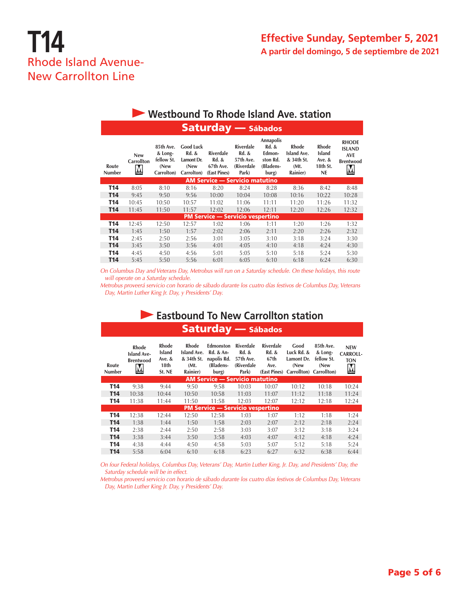| <b>Westbound To Rhode Island Ave. station</b> |                                      |                                                          |                                                               |                                                                   |                                                        |                                                                                  |                                                                      |                                                             |                                                                      |  |  |
|-----------------------------------------------|--------------------------------------|----------------------------------------------------------|---------------------------------------------------------------|-------------------------------------------------------------------|--------------------------------------------------------|----------------------------------------------------------------------------------|----------------------------------------------------------------------|-------------------------------------------------------------|----------------------------------------------------------------------|--|--|
| <b>Saturday</b> - Sábados                     |                                      |                                                          |                                                               |                                                                   |                                                        |                                                                                  |                                                                      |                                                             |                                                                      |  |  |
| Route<br><b>Number</b>                        | <b>New</b><br><b>Carrollton</b><br>M | 85th Ave.<br>& Long-<br>fellow St.<br>(New<br>Carrolton) | <b>Good Luck</b><br>Rd. &<br>Lamont Dr.<br>(New<br>Carrolton) | <b>Riverdale</b><br><b>Rd. &amp;</b><br>67th Ave.<br>(East Pines) | Riverdale<br>Rd. &<br>57th Ave.<br>(Riverdale<br>Park) | <b>Annapolis</b><br><b>Rd. &amp;</b><br>Edmon-<br>ston Rd.<br>(Bladens-<br>burg) | <b>Rhode</b><br><b>Island Ave.</b><br>& 34th St.<br>(Mt)<br>Rainier) | <b>Rhode</b><br><b>Island</b><br>Ave. $&$<br>18th St.<br>NE | <b>RHODE</b><br><b>ISLAND</b><br><b>AVE</b><br><b>Brentwood</b><br>M |  |  |
|                                               |                                      |                                                          |                                                               | <b>AM Service - Servicio matutino</b>                             |                                                        |                                                                                  |                                                                      |                                                             |                                                                      |  |  |
| T14                                           | 8:05                                 | 8:10                                                     | 8:16                                                          | 8:20                                                              | 8:24                                                   | 8:28                                                                             | 8:36                                                                 | 8:42                                                        | 8:48                                                                 |  |  |
| T <sub>14</sub>                               | 9:45                                 | 9:50                                                     | 9:56                                                          | 10:00                                                             | 10:04                                                  | 10:08                                                                            | 10:16                                                                | 10:22                                                       | 10:28                                                                |  |  |
| T14                                           | 10:45                                | 10:50                                                    | 10:57                                                         | 11:02                                                             | 11:06                                                  | 11:11                                                                            | 11:20                                                                | 11:26                                                       | 11:32                                                                |  |  |
| T14                                           | 11:45                                | 11:50                                                    | 11:57                                                         | 12:02                                                             | 12:06                                                  | 12:11                                                                            | 12:20                                                                | 12:26                                                       | 12:32                                                                |  |  |
|                                               |                                      |                                                          |                                                               | <b>PM Service - Servicio vespertino</b>                           |                                                        |                                                                                  |                                                                      |                                                             |                                                                      |  |  |
| T14                                           | 12:45                                | 12:50                                                    | 12:57                                                         | 1:02                                                              | 1:06                                                   | 1:11                                                                             | 1:20                                                                 | 1:26                                                        | 1:32                                                                 |  |  |
| T14                                           | 1:45                                 | 1:50                                                     | 1:57                                                          | 2:02                                                              | 2:06                                                   | 2:11                                                                             | 2:20                                                                 | 2:26                                                        | 2:32                                                                 |  |  |
| T14                                           | 2:45                                 | 2:50                                                     | 2:56                                                          | 3:01                                                              | 3:05                                                   | 3:10                                                                             | 3:18                                                                 | 3:24                                                        | 3:30                                                                 |  |  |
| T <sub>14</sub>                               | 3:45                                 | 3:50                                                     | 3:56                                                          | 4:01                                                              | 4:05                                                   | 4:10                                                                             | 4:18                                                                 | 4:24                                                        | 4:30                                                                 |  |  |
| T14                                           | 4:45                                 | 4:50                                                     | 4:56                                                          | 5:01                                                              | 5:05                                                   | 5:10                                                                             | 5:18                                                                 | 5:24                                                        | 5:30                                                                 |  |  |
| T14                                           | 5:45                                 | 5:50                                                     | 5:56                                                          | 6:01                                                              | 6:05                                                   | 6:10                                                                             | 6:18                                                                 | 6:24                                                        | 6:30                                                                 |  |  |

*On Columbus Day and Veterans Day, Metrobus will run on a Saturday schedule. On these holidays, this route will operate on a Saturday schedule.* 

*Metrobus proveerá servicio con horario de sábado durante los cuatro días festivos de Columbus Day, Veterans Day, Martin Luther King Jr. Day, y Presidents' Day.*

### Saturday — Sábados **Eastbound To New Carrollton station**

| Route<br>Number | <b>Rhode</b><br><b>Island Ave-</b><br><b>Brentwood</b><br><u>M</u> | Rhode<br><b>Island</b><br>Ave. $&$<br>18th<br>St. NE | Rhode<br>Island Ave.<br>& 34th St.<br>(Mt)<br>Rainier) | <b>Edmonston</b><br><b>Rd. &amp; An-</b><br>napolis Rd.<br>(Bladens-<br>burg) | Riverdale<br><b>Rd. &amp;</b><br>57th Ave.<br>(Riverdale<br>Park) | Riverdale<br><b>Rd. &amp;</b><br>67th<br>Ave.<br>(East Pines) | Good<br>Luck Rd. &<br>Lamont Dr.<br>(New<br>Carrollton) | 85th Ave.<br>& Long-<br>fellow St.<br>(New<br>Carrollton) | <b>NEW</b><br><b>CARROLL-</b><br><b>TON</b><br>$\overline{\mathsf{M}}$ |
|-----------------|--------------------------------------------------------------------|------------------------------------------------------|--------------------------------------------------------|-------------------------------------------------------------------------------|-------------------------------------------------------------------|---------------------------------------------------------------|---------------------------------------------------------|-----------------------------------------------------------|------------------------------------------------------------------------|
|                 |                                                                    |                                                      |                                                        | <b>AM Service - Servicio matutino</b>                                         |                                                                   |                                                               |                                                         |                                                           |                                                                        |
| T14             | 9:38                                                               | 9:44                                                 | 9:50                                                   | 9:58                                                                          | 10:03                                                             | 10:07                                                         | 10:12                                                   | 10:18                                                     | 10:24                                                                  |
| <b>T14</b>      | 10:38                                                              | 10:44                                                | 10:50                                                  | 10:58                                                                         | 11:03                                                             | 11:07                                                         | 11:12                                                   | 11:18                                                     | 11:24                                                                  |
| T <sub>14</sub> | 11:38                                                              | 11:44                                                | 11:50                                                  | 11:58                                                                         | 12:03                                                             | 12:07                                                         | 12:12                                                   | 12:18                                                     | 12:24                                                                  |
|                 |                                                                    |                                                      |                                                        | <b>PM Service - Servicio vespertino</b>                                       |                                                                   |                                                               |                                                         |                                                           |                                                                        |
| T14             | 12:38                                                              | 12:44                                                | 12:50                                                  | 12:58                                                                         | 1:03                                                              | 1:07                                                          | 1:12                                                    | 1:18                                                      | 1:24                                                                   |
| <b>T14</b>      | 1:38                                                               | 1:44                                                 | 1:50                                                   | 1:58                                                                          | 2:03                                                              | 2:07                                                          | 2:12                                                    | 2:18                                                      | 2:24                                                                   |
| T <sub>14</sub> | 2:38                                                               | 2:44                                                 | 2:50                                                   | 2:58                                                                          | 3:03                                                              | 3:07                                                          | 3:12                                                    | 3:18                                                      | 3:24                                                                   |
| <b>T14</b>      | 3:38                                                               | 3:44                                                 | 3:50                                                   | 3:58                                                                          | 4:03                                                              | 4:07                                                          | 4:12                                                    | 4:18                                                      | 4:24                                                                   |
| T <sub>14</sub> | 4:38                                                               | 4:44                                                 | 4:50                                                   | 4:58                                                                          | 5:03                                                              | 5:07                                                          | 5:12                                                    | 5:18                                                      | 5:24                                                                   |
| T <sub>14</sub> | 5:58                                                               | 6:04                                                 | 6:10                                                   | 6:18                                                                          | 6:23                                                              | 6:27                                                          | 6:32                                                    | 6:38                                                      | 6:44                                                                   |

*On four Federal holidays, Columbus Day, Veterans' Day, Martin Luther King, Jr. Day, and Presidents' Day, the Saturday schedule will be in effect.*

*Metrobus proveerá servicio con horario de sábado durante los cuatro días festivos de Columbus Day, Veterans Day, Martin Luther King Jr. Day, y Presidents' Day.*